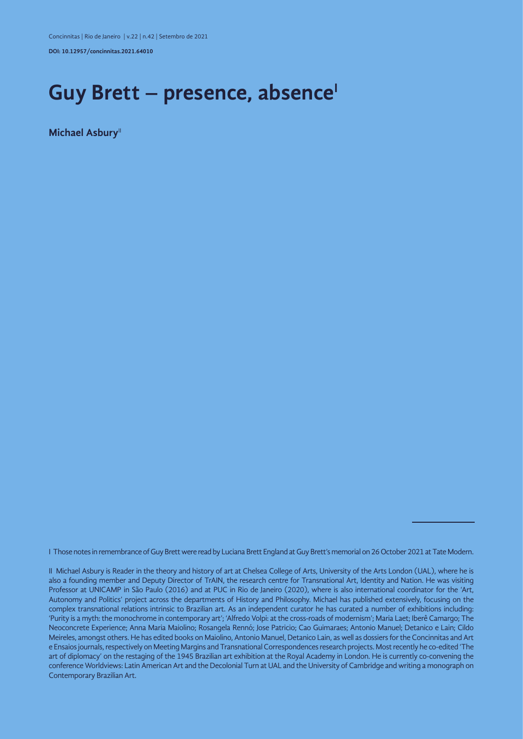**DOI: 10.12957/concinnitas.2021.64010**

## Guy Brett – presence, absence<sup>1</sup>

**Michael Asbury**<sup>11</sup>

I Those notes in remembrance of Guy Brett were read by Luciana Brett England at Guy Brett's memorial on 26 October 2021 at Tate Modern.

II Michael Asbury is Reader in the theory and history of art at Chelsea College of Arts, University of the Arts London (UAL), where he is also a founding member and Deputy Director of TrAIN, the research centre for Transnational Art, Identity and Nation. He was visiting Professor at UNICAMP in São Paulo (2016) and at PUC in Rio de Janeiro (2020), where is also international coordinator for the 'Art, Autonomy and Politics' project across the departments of History and Philosophy. Michael has published extensively, focusing on the complex transnational relations intrinsic to Brazilian art. As an independent curator he has curated a number of exhibitions including: 'Purity is a myth: the monochrome in contemporary art'; 'Alfredo Volpi: at the cross-roads of modernism'; Maria Laet; Iberê Camargo; The Neoconcrete Experience; Anna Maria Maiolino; Rosangela Rennó; Jose Patricio; Cao Guimaraes; Antonio Manuel; Detanico e Lain; Cildo Meireles, amongst others. He has edited books on Maiolino, Antonio Manuel, Detanico Lain, as well as dossiers for the Concinnitas and Art e Ensaios journals, respectively on Meeting Margins and Transnational Correspondences research projects. Most recently he co-edited 'The art of diplomacy' on the restaging of the 1945 Brazilian art exhibition at the Royal Academy in London. He is currently co-convening the conference Worldviews: Latin American Art and the Decolonial Turn at UAL and the University of Cambridge and writing a monograph on Contemporary Brazilian Art.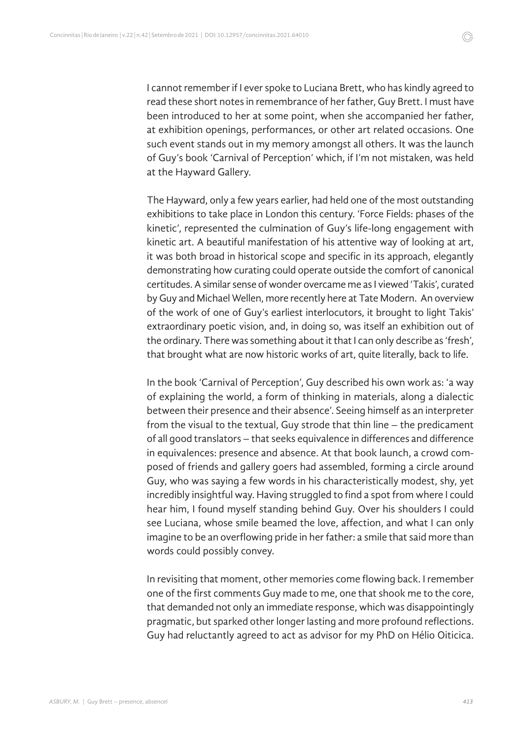I cannot remember if I ever spoke to Luciana Brett, who has kindly agreed to read these short notes in remembrance of her father, Guy Brett. I must have been introduced to her at some point, when she accompanied her father, at exhibition openings, performances, or other art related occasions. One such event stands out in my memory amongst all others. It was the launch of Guy's book 'Carnival of Perception' which, if I'm not mistaken, was held at the Hayward Gallery.

The Hayward, only a few years earlier, had held one of the most outstanding exhibitions to take place in London this century. 'Force Fields: phases of the kinetic', represented the culmination of Guy's life-long engagement with kinetic art. A beautiful manifestation of his attentive way of looking at art, it was both broad in historical scope and specific in its approach, elegantly demonstrating how curating could operate outside the comfort of canonical certitudes. A similar sense of wonder overcame me as I viewed 'Takis', curated by Guy and Michael Wellen, more recently here at Tate Modern. An overview of the work of one of Guy's earliest interlocutors, it brought to light Takis' extraordinary poetic vision, and, in doing so, was itself an exhibition out of the ordinary. There was something about it that I can only describe as 'fresh', that brought what are now historic works of art, quite literally, back to life.

In the book 'Carnival of Perception', Guy described his own work as: 'a way of explaining the world, a form of thinking in materials, along a dialectic between their presence and their absence'. Seeing himself as an interpreter from the visual to the textual, Guy strode that thin line – the predicament of all good translators – that seeks equivalence in differences and difference in equivalences: presence and absence. At that book launch, a crowd composed of friends and gallery goers had assembled, forming a circle around Guy, who was saying a few words in his characteristically modest, shy, yet incredibly insightful way. Having struggled to find a spot from where I could hear him, I found myself standing behind Guy. Over his shoulders I could see Luciana, whose smile beamed the love, affection, and what I can only imagine to be an overflowing pride in her father: a smile that said more than words could possibly convey.

In revisiting that moment, other memories come flowing back. I remember one of the first comments Guy made to me, one that shook me to the core, that demanded not only an immediate response, which was disappointingly pragmatic, but sparked other longer lasting and more profound reflections. Guy had reluctantly agreed to act as advisor for my PhD on Hélio Oiticica.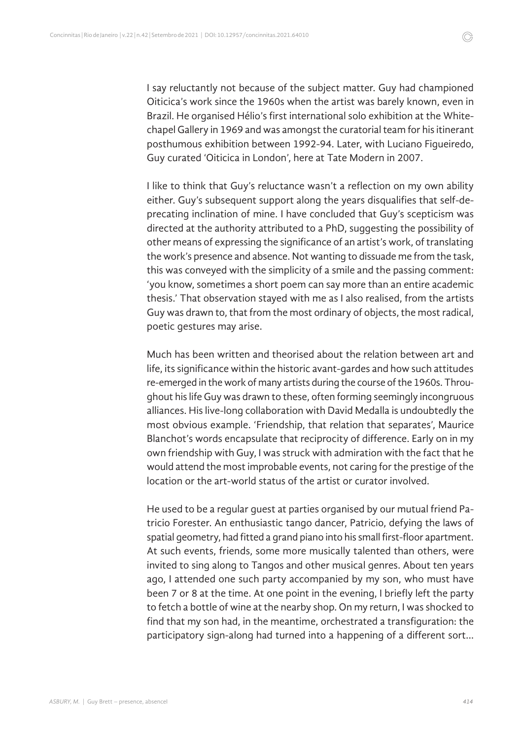I say reluctantly not because of the subject matter. Guy had championed Oiticica's work since the 1960s when the artist was barely known, even in Brazil. He organised Hélio's first international solo exhibition at the Whitechapel Gallery in 1969 and was amongst the curatorial team for his itinerant posthumous exhibition between 1992-94. Later, with Luciano Figueiredo, Guy curated 'Oiticica in London', here at Tate Modern in 2007.

I like to think that Guy's reluctance wasn't a reflection on my own ability either. Guy's subsequent support along the years disqualifies that self-deprecating inclination of mine. I have concluded that Guy's scepticism was directed at the authority attributed to a PhD, suggesting the possibility of other means of expressing the significance of an artist's work, of translating the work's presence and absence. Not wanting to dissuade me from the task, this was conveyed with the simplicity of a smile and the passing comment: 'you know, sometimes a short poem can say more than an entire academic thesis.' That observation stayed with me as I also realised, from the artists Guy was drawn to, that from the most ordinary of objects, the most radical, poetic gestures may arise.

Much has been written and theorised about the relation between art and life, its significance within the historic avant-gardes and how such attitudes re-emerged in the work of many artists during the course of the 1960s. Throughout his life Guy was drawn to these, often forming seemingly incongruous alliances. His live-long collaboration with David Medalla is undoubtedly the most obvious example. 'Friendship, that relation that separates', Maurice Blanchot's words encapsulate that reciprocity of difference. Early on in my own friendship with Guy, I was struck with admiration with the fact that he would attend the most improbable events, not caring for the prestige of the location or the art-world status of the artist or curator involved.

He used to be a regular guest at parties organised by our mutual friend Patricio Forester. An enthusiastic tango dancer, Patricio, defying the laws of spatial geometry, had fitted a grand piano into his small first-floor apartment. At such events, friends, some more musically talented than others, were invited to sing along to Tangos and other musical genres. About ten years ago, I attended one such party accompanied by my son, who must have been 7 or 8 at the time. At one point in the evening, I briefly left the party to fetch a bottle of wine at the nearby shop. On my return, I was shocked to find that my son had, in the meantime, orchestrated a transfiguration: the participatory sign-along had turned into a happening of a different sort...